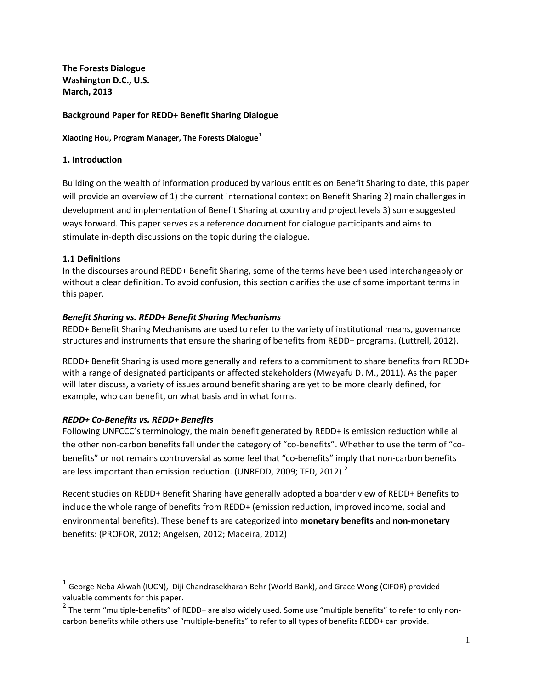**The Forests Dialogue Washington D.C., U.S. March, 2013** 

### **Background Paper for REDD+ Benefit Sharing Dialogue**

**Xiaoting Hou, Program Manager, The Forests Dialogue[1](#page-0-0)**

### **1. Introduction**

Building on the wealth of information produced by various entities on Benefit Sharing to date, this paper will provide an overview of 1) the current international context on Benefit Sharing 2) main challenges in development and implementation of Benefit Sharing at country and project levels 3) some suggested ways forward. This paper serves as a reference document for dialogue participants and aims to stimulate in-depth discussions on the topic during the dialogue.

### **1.1 Definitions**

In the discourses around REDD+ Benefit Sharing, some of the terms have been used interchangeably or without a clear definition. To avoid confusion, this section clarifies the use of some important terms in this paper.

### *Benefit Sharing vs. REDD+ Benefit Sharing Mechanisms*

REDD+ Benefit Sharing Mechanisms are used to refer to the variety of institutional means, governance structures and instruments that ensure the sharing of benefits from REDD+ programs. (Luttrell, 2012).

REDD+ Benefit Sharing is used more generally and refers to a commitment to share benefits from REDD+ with a range of designated participants or affected stakeholders (Mwayafu D. M., 2011). As the paper will later discuss, a variety of issues around benefit sharing are yet to be more clearly defined, for example, who can benefit, on what basis and in what forms.

### *REDD+ Co-Benefits vs. REDD+ Benefits*

Following UNFCCC's terminology, the main benefit generated by REDD+ is emission reduction while all the other non-carbon benefits fall under the category of "co-benefits". Whether to use the term of "cobenefits" or not remains controversial as some feel that "co-benefits" imply that non-carbon benefits are less important than emission reduction. (UNREDD, [2](#page-0-1)009; TFD, 2012)<sup>2</sup>

Recent studies on REDD+ Benefit Sharing have generally adopted a boarder view of REDD+ Benefits to include the whole range of benefits from REDD+ (emission reduction, improved income, social and environmental benefits). These benefits are categorized into **monetary benefits** and **non-monetary** benefits: (PROFOR, 2012; Angelsen, 2012; Madeira, 2012)

<span id="page-0-0"></span> $1$  George Neba Akwah (IUCN), Diji Chandrasekharan Behr (World Bank), and Grace Wong (CIFOR) provided valuable comments for this paper.

<span id="page-0-1"></span><sup>&</sup>lt;sup>2</sup> The term "multiple-benefits" of REDD+ are also widely used. Some use "multiple benefits" to refer to only noncarbon benefits while others use "multiple-benefits" to refer to all types of benefits REDD+ can provide.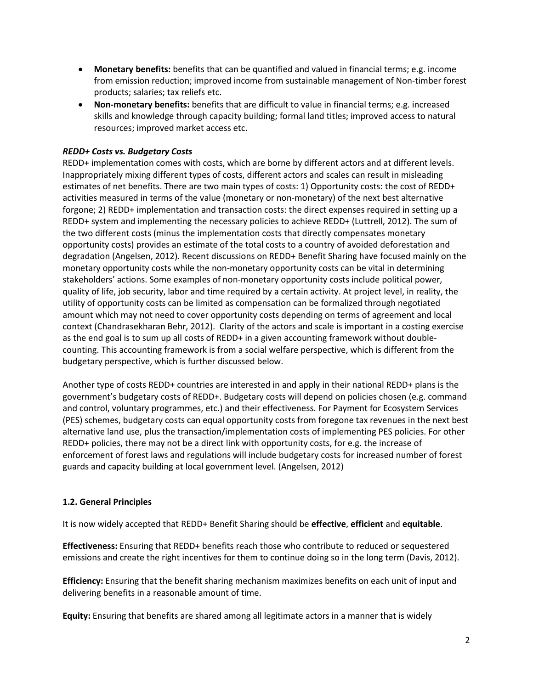- **Monetary benefits:** benefits that can be quantified and valued in financial terms; e.g. income from emission reduction; improved income from sustainable management of Non-timber forest products; salaries; tax reliefs etc.
- **Non-monetary benefits:** benefits that are difficult to value in financial terms; e.g. increased skills and knowledge through capacity building; formal land titles; improved access to natural resources; improved market access etc.

### *REDD+ Costs vs. Budgetary Costs*

REDD+ implementation comes with costs, which are borne by different actors and at different levels. Inappropriately mixing different types of costs, different actors and scales can result in misleading estimates of net benefits. There are two main types of costs: 1) Opportunity costs: the cost of REDD+ activities measured in terms of the value (monetary or non-monetary) of the next best alternative forgone; 2) REDD+ implementation and transaction costs: the direct expenses required in setting up a REDD+ system and implementing the necessary policies to achieve REDD+ (Luttrell, 2012). The sum of the two different costs (minus the implementation costs that directly compensates monetary opportunity costs) provides an estimate of the total costs to a country of avoided deforestation and degradation (Angelsen, 2012). Recent discussions on REDD+ Benefit Sharing have focused mainly on the monetary opportunity costs while the non-monetary opportunity costs can be vital in determining stakeholders' actions. Some examples of non-monetary opportunity costs include political power, quality of life, job security, labor and time required by a certain activity. At project level, in reality, the utility of opportunity costs can be limited as compensation can be formalized through negotiated amount which may not need to cover opportunity costs depending on terms of agreement and local context (Chandrasekharan Behr, 2012). Clarity of the actors and scale is important in a costing exercise as the end goal is to sum up all costs of REDD+ in a given accounting framework without doublecounting. This accounting framework is from a social welfare perspective, which is different from the budgetary perspective, which is further discussed below.

Another type of costs REDD+ countries are interested in and apply in their national REDD+ plans is the government's budgetary costs of REDD+. Budgetary costs will depend on policies chosen (e.g. command and control, voluntary programmes, etc.) and their effectiveness. For Payment for Ecosystem Services (PES) schemes, budgetary costs can equal opportunity costs from foregone tax revenues in the next best alternative land use, plus the transaction/implementation costs of implementing PES policies. For other REDD+ policies, there may not be a direct link with opportunity costs, for e.g. the increase of enforcement of forest laws and regulations will include budgetary costs for increased number of forest guards and capacity building at local government level. (Angelsen, 2012)

### **1.2. General Principles**

It is now widely accepted that REDD+ Benefit Sharing should be **effective**, **efficient** and **equitable**.

**Effectiveness:** Ensuring that REDD+ benefits reach those who contribute to reduced or sequestered emissions and create the right incentives for them to continue doing so in the long term (Davis, 2012).

**Efficiency:** Ensuring that the benefit sharing mechanism maximizes benefits on each unit of input and delivering benefits in a reasonable amount of time.

**Equity:** Ensuring that benefits are shared among all legitimate actors in a manner that is widely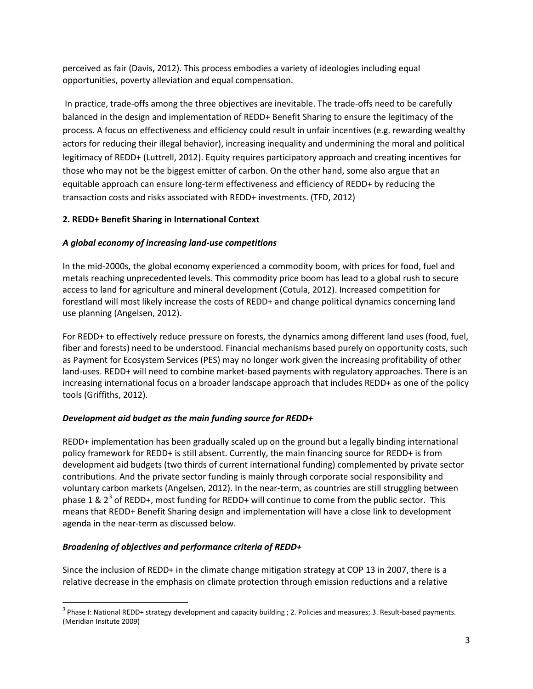perceived as fair (Davis, 2012). This process embodies a variety of ideologies including equal opportunities, poverty alleviation and equal compensation.

In practice, trade-offs among the three objectives are inevitable. The trade-offs need to be carefully balanced in the design and implementation of REDD+ Benefit Sharing to ensure the legitimacy of the process. A focus on effectiveness and efficiency could result in unfair incentives (e.g. rewarding wealthy actors for reducing their illegal behavior), increasing inequality and undermining the moral and political legitimacy of REDD+ (Luttrell, 2012). Equity requires participatory approach and creating incentives for those who may not be the biggest emitter of carbon. On the other hand, some also argue that an equitable approach can ensure long-term effectiveness and efficiency of REDD+ by reducing the transaction costs and risks associated with REDD+ investments. (TFD, 2012)

# **2. REDD+ Benefit Sharing in International Context**

# *A global economy of increasing land-use competitions*

In the mid-2000s, the global economy experienced a commodity boom, with prices for food, fuel and metals reaching unprecedented levels. This commodity price boom has lead to a global rush to secure access to land for agriculture and mineral development (Cotula, 2012). Increased competition for forestland will most likely increase the costs of REDD+ and change political dynamics concerning land use planning (Angelsen, 2012).

For REDD+ to effectively reduce pressure on forests, the dynamics among different land uses (food, fuel, fiber and forests) need to be understood. Financial mechanisms based purely on opportunity costs, such as Payment for Ecosystem Services (PES) may no longer work given the increasing profitability of other land-uses. REDD+ will need to combine market-based payments with regulatory approaches. There is an increasing international focus on a broader landscape approach that includes REDD+ as one of the policy tools (Griffiths, 2012).

# *Development aid budget as the main funding source for REDD+*

REDD+ implementation has been gradually scaled up on the ground but a legally binding international policy framework for REDD+ is still absent. Currently, the main financing source for REDD+ is from development aid budgets (two thirds of current international funding) complemented by private sector contributions. And the private sector funding is mainly through corporate social responsibility and voluntary carbon markets (Angelsen, 2012). In the near-term, as countries are still struggling between phase 1 &  $2^3$  $2^3$  of REDD+, most funding for REDD+ will continue to come from the public sector. This means that REDD+ Benefit Sharing design and implementation will have a close link to development agenda in the near-term as discussed below.

# *Broadening of objectives and performance criteria of REDD+*

Since the inclusion of REDD+ in the climate change mitigation strategy at COP 13 in 2007, there is a relative decrease in the emphasis on climate protection through emission reductions and a relative

<span id="page-2-0"></span><sup>&</sup>lt;sup>3</sup> Phase I: National REDD+ strategy development and capacity building ; 2. Policies and measures; 3. Result-based payments. (Meridian Insitute 2009)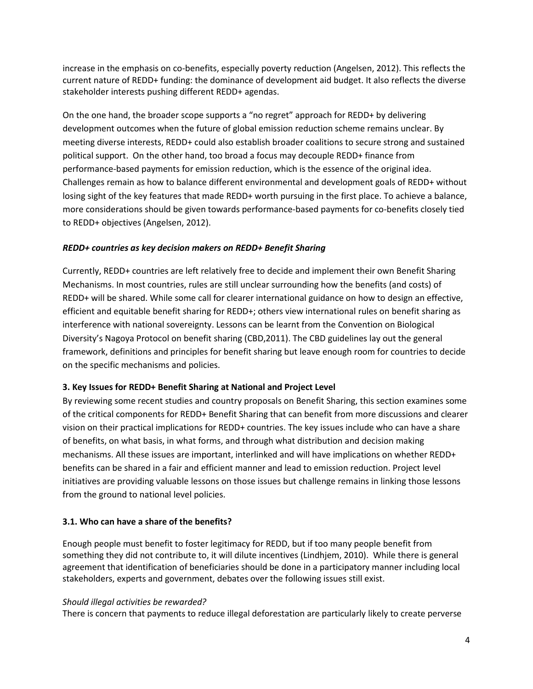increase in the emphasis on co-benefits, especially poverty reduction (Angelsen, 2012). This reflects the current nature of REDD+ funding: the dominance of development aid budget. It also reflects the diverse stakeholder interests pushing different REDD+ agendas.

On the one hand, the broader scope supports a "no regret" approach for REDD+ by delivering development outcomes when the future of global emission reduction scheme remains unclear. By meeting diverse interests, REDD+ could also establish broader coalitions to secure strong and sustained political support. On the other hand, too broad a focus may decouple REDD+ finance from performance-based payments for emission reduction, which is the essence of the original idea. Challenges remain as how to balance different environmental and development goals of REDD+ without losing sight of the key features that made REDD+ worth pursuing in the first place. To achieve a balance, more considerations should be given towards performance-based payments for co-benefits closely tied to REDD+ objectives (Angelsen, 2012).

## *REDD+ countries as key decision makers on REDD+ Benefit Sharing*

Currently, REDD+ countries are left relatively free to decide and implement their own Benefit Sharing Mechanisms. In most countries, rules are still unclear surrounding how the benefits (and costs) of REDD+ will be shared. While some call for clearer international guidance on how to design an effective, efficient and equitable benefit sharing for REDD+; others view international rules on benefit sharing as interference with national sovereignty. Lessons can be learnt from the Convention on Biological Diversity's Nagoya Protocol on benefit sharing (CBD,2011). The CBD guidelines lay out the general framework, definitions and principles for benefit sharing but leave enough room for countries to decide on the specific mechanisms and policies.

# **3. Key Issues for REDD+ Benefit Sharing at National and Project Level**

By reviewing some recent studies and country proposals on Benefit Sharing, this section examines some of the critical components for REDD+ Benefit Sharing that can benefit from more discussions and clearer vision on their practical implications for REDD+ countries. The key issues include who can have a share of benefits, on what basis, in what forms, and through what distribution and decision making mechanisms. All these issues are important, interlinked and will have implications on whether REDD+ benefits can be shared in a fair and efficient manner and lead to emission reduction. Project level initiatives are providing valuable lessons on those issues but challenge remains in linking those lessons from the ground to national level policies.

# **3.1. Who can have a share of the benefits?**

Enough people must benefit to foster legitimacy for REDD, but if too many people benefit from something they did not contribute to, it will dilute incentives (Lindhjem, 2010). While there is general agreement that identification of beneficiaries should be done in a participatory manner including local stakeholders, experts and government, debates over the following issues still exist.

### *Should illegal activities be rewarded?*

There is concern that payments to reduce illegal deforestation are particularly likely to create perverse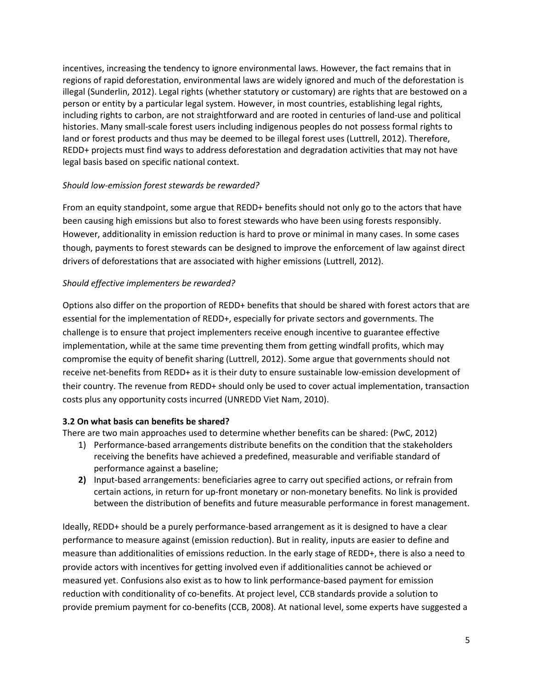incentives, increasing the tendency to ignore environmental laws. However, the fact remains that in regions of rapid deforestation, environmental laws are widely ignored and much of the deforestation is illegal (Sunderlin, 2012). Legal rights (whether statutory or customary) are rights that are bestowed on a person or entity by a particular legal system. However, in most countries, establishing legal rights, including rights to carbon, are not straightforward and are rooted in centuries of land-use and political histories. Many small-scale forest users including indigenous peoples do not possess formal rights to land or forest products and thus may be deemed to be illegal forest uses (Luttrell, 2012). Therefore, REDD+ projects must find ways to address deforestation and degradation activities that may not have legal basis based on specific national context.

## *Should low-emission forest stewards be rewarded?*

From an equity standpoint, some argue that REDD+ benefits should not only go to the actors that have been causing high emissions but also to forest stewards who have been using forests responsibly. However, additionality in emission reduction is hard to prove or minimal in many cases. In some cases though, payments to forest stewards can be designed to improve the enforcement of law against direct drivers of deforestations that are associated with higher emissions (Luttrell, 2012).

## *Should effective implementers be rewarded?*

Options also differ on the proportion of REDD+ benefits that should be shared with forest actors that are essential for the implementation of REDD+, especially for private sectors and governments. The challenge is to ensure that project implementers receive enough incentive to guarantee effective implementation, while at the same time preventing them from getting windfall profits, which may compromise the equity of benefit sharing (Luttrell, 2012). Some argue that governments should not receive net-benefits from REDD+ as it is their duty to ensure sustainable low-emission development of their country. The revenue from REDD+ should only be used to cover actual implementation, transaction costs plus any opportunity costs incurred (UNREDD Viet Nam, 2010).

### **3.2 On what basis can benefits be shared?**

There are two main approaches used to determine whether benefits can be shared: (PwC, 2012)

- 1) Performance-based arrangements distribute benefits on the condition that the stakeholders receiving the benefits have achieved a predefined, measurable and verifiable standard of performance against a baseline;
- **2)** Input-based arrangements: beneficiaries agree to carry out specified actions, or refrain from certain actions, in return for up-front monetary or non-monetary benefits. No link is provided between the distribution of benefits and future measurable performance in forest management.

Ideally, REDD+ should be a purely performance-based arrangement as it is designed to have a clear performance to measure against (emission reduction). But in reality, inputs are easier to define and measure than additionalities of emissions reduction. In the early stage of REDD+, there is also a need to provide actors with incentives for getting involved even if additionalities cannot be achieved or measured yet. Confusions also exist as to how to link performance-based payment for emission reduction with conditionality of co-benefits. At project level, CCB standards provide a solution to provide premium payment for co-benefits (CCB, 2008). At national level, some experts have suggested a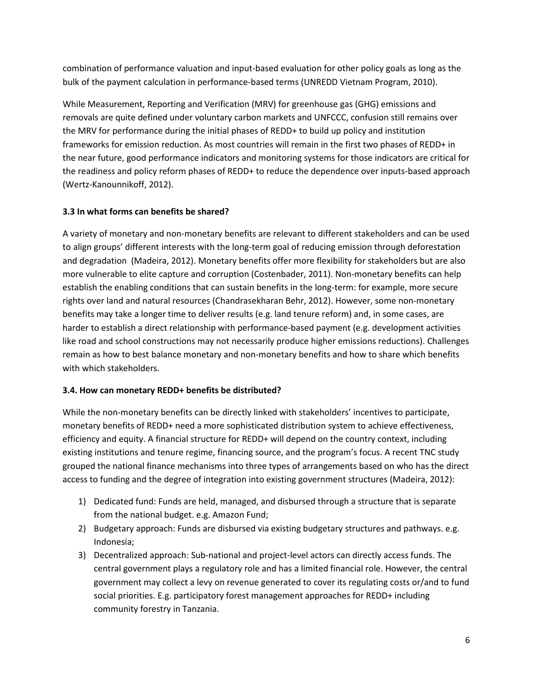combination of performance valuation and input-based evaluation for other policy goals as long as the bulk of the payment calculation in performance-based terms (UNREDD Vietnam Program, 2010).

While Measurement, Reporting and Verification (MRV) for greenhouse gas (GHG) emissions and removals are quite defined under voluntary carbon markets and UNFCCC, confusion still remains over the MRV for performance during the initial phases of REDD+ to build up policy and institution frameworks for emission reduction. As most countries will remain in the first two phases of REDD+ in the near future, good performance indicators and monitoring systems for those indicators are critical for the readiness and policy reform phases of REDD+ to reduce the dependence over inputs-based approach (Wertz-Kanounnikoff, 2012).

# **3.3 In what forms can benefits be shared?**

A variety of monetary and non-monetary benefits are relevant to different stakeholders and can be used to align groups' different interests with the long-term goal of reducing emission through deforestation and degradation (Madeira, 2012). Monetary benefits offer more flexibility for stakeholders but are also more vulnerable to elite capture and corruption (Costenbader, 2011). Non-monetary benefits can help establish the enabling conditions that can sustain benefits in the long-term: for example, more secure rights over land and natural resources (Chandrasekharan Behr, 2012). However, some non-monetary benefits may take a longer time to deliver results (e.g. land tenure reform) and, in some cases, are harder to establish a direct relationship with performance-based payment (e.g. development activities like road and school constructions may not necessarily produce higher emissions reductions). Challenges remain as how to best balance monetary and non-monetary benefits and how to share which benefits with which stakeholders.

# **3.4. How can monetary REDD+ benefits be distributed?**

While the non-monetary benefits can be directly linked with stakeholders' incentives to participate, monetary benefits of REDD+ need a more sophisticated distribution system to achieve effectiveness, efficiency and equity. A financial structure for REDD+ will depend on the country context, including existing institutions and tenure regime, financing source, and the program's focus. A recent TNC study grouped the national finance mechanisms into three types of arrangements based on who has the direct access to funding and the degree of integration into existing government structures (Madeira, 2012):

- 1) Dedicated fund: Funds are held, managed, and disbursed through a structure that is separate from the national budget. e.g. Amazon Fund;
- 2) Budgetary approach: Funds are disbursed via existing budgetary structures and pathways. e.g. Indonesia;
- 3) Decentralized approach: Sub-national and project-level actors can directly access funds. The central government plays a regulatory role and has a limited financial role. However, the central government may collect a levy on revenue generated to cover its regulating costs or/and to fund social priorities. E.g. participatory forest management approaches for REDD+ including community forestry in Tanzania.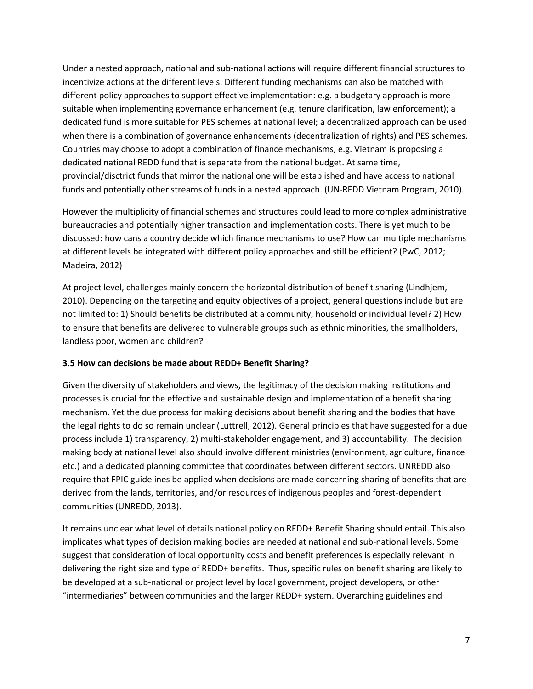Under a nested approach, national and sub-national actions will require different financial structures to incentivize actions at the different levels. Different funding mechanisms can also be matched with different policy approaches to support effective implementation: e.g. a budgetary approach is more suitable when implementing governance enhancement (e.g. tenure clarification, law enforcement); a dedicated fund is more suitable for PES schemes at national level; a decentralized approach can be used when there is a combination of governance enhancements (decentralization of rights) and PES schemes. Countries may choose to adopt a combination of finance mechanisms, e.g. Vietnam is proposing a dedicated national REDD fund that is separate from the national budget. At same time, provincial/disctrict funds that mirror the national one will be established and have access to national funds and potentially other streams of funds in a nested approach. (UN-REDD Vietnam Program, 2010).

However the multiplicity of financial schemes and structures could lead to more complex administrative bureaucracies and potentially higher transaction and implementation costs. There is yet much to be discussed: how cans a country decide which finance mechanisms to use? How can multiple mechanisms at different levels be integrated with different policy approaches and still be efficient? (PwC, 2012; Madeira, 2012)

At project level, challenges mainly concern the horizontal distribution of benefit sharing (Lindhjem, 2010). Depending on the targeting and equity objectives of a project, general questions include but are not limited to: 1) Should benefits be distributed at a community, household or individual level? 2) How to ensure that benefits are delivered to vulnerable groups such as ethnic minorities, the smallholders, landless poor, women and children?

# **3.5 How can decisions be made about REDD+ Benefit Sharing?**

Given the diversity of stakeholders and views, the legitimacy of the decision making institutions and processes is crucial for the effective and sustainable design and implementation of a benefit sharing mechanism. Yet the due process for making decisions about benefit sharing and the bodies that have the legal rights to do so remain unclear (Luttrell, 2012). General principles that have suggested for a due process include 1) transparency, 2) multi-stakeholder engagement, and 3) accountability. The decision making body at national level also should involve different ministries (environment, agriculture, finance etc.) and a dedicated planning committee that coordinates between different sectors. UNREDD also require that FPIC guidelines be applied when decisions are made concerning sharing of benefits that are derived from the lands, territories, and/or resources of indigenous peoples and forest-dependent communities (UNREDD, 2013).

It remains unclear what level of details national policy on REDD+ Benefit Sharing should entail. This also implicates what types of decision making bodies are needed at national and sub-national levels. Some suggest that consideration of local opportunity costs and benefit preferences is especially relevant in delivering the right size and type of REDD+ benefits. Thus, specific rules on benefit sharing are likely to be developed at a sub-national or project level by local government, project developers, or other "intermediaries" between communities and the larger REDD+ system. Overarching guidelines and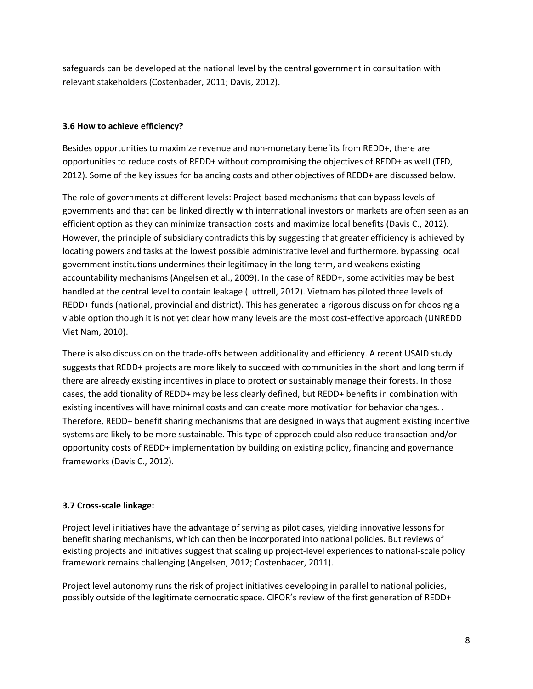safeguards can be developed at the national level by the central government in consultation with relevant stakeholders (Costenbader, 2011; Davis, 2012).

# **3.6 How to achieve efficiency?**

Besides opportunities to maximize revenue and non-monetary benefits from REDD+, there are opportunities to reduce costs of REDD+ without compromising the objectives of REDD+ as well (TFD, 2012). Some of the key issues for balancing costs and other objectives of REDD+ are discussed below.

The role of governments at different levels: Project-based mechanisms that can bypass levels of governments and that can be linked directly with international investors or markets are often seen as an efficient option as they can minimize transaction costs and maximize local benefits (Davis C., 2012). However, the principle of subsidiary contradicts this by suggesting that greater efficiency is achieved by locating powers and tasks at the lowest possible administrative level and furthermore, bypassing local government institutions undermines their legitimacy in the long-term, and weakens existing accountability mechanisms (Angelsen et al., 2009). In the case of REDD+, some activities may be best handled at the central level to contain leakage (Luttrell, 2012). Vietnam has piloted three levels of REDD+ funds (national, provincial and district). This has generated a rigorous discussion for choosing a viable option though it is not yet clear how many levels are the most cost-effective approach (UNREDD Viet Nam, 2010).

There is also discussion on the trade-offs between additionality and efficiency. A recent USAID study suggests that REDD+ projects are more likely to succeed with communities in the short and long term if there are already existing incentives in place to protect or sustainably manage their forests. In those cases, the additionality of REDD+ may be less clearly defined, but REDD+ benefits in combination with existing incentives will have minimal costs and can create more motivation for behavior changes. . Therefore, REDD+ benefit sharing mechanisms that are designed in ways that augment existing incentive systems are likely to be more sustainable. This type of approach could also reduce transaction and/or opportunity costs of REDD+ implementation by building on existing policy, financing and governance frameworks (Davis C., 2012).

# **3.7 Cross-scale linkage:**

Project level initiatives have the advantage of serving as pilot cases, yielding innovative lessons for benefit sharing mechanisms, which can then be incorporated into national policies. But reviews of existing projects and initiatives suggest that scaling up project-level experiences to national-scale policy framework remains challenging (Angelsen, 2012; Costenbader, 2011).

Project level autonomy runs the risk of project initiatives developing in parallel to national policies, possibly outside of the legitimate democratic space. CIFOR's review of the first generation of REDD+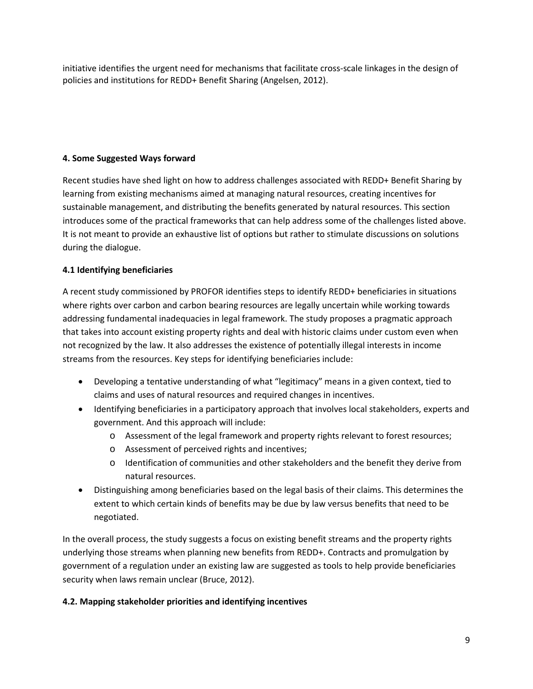initiative identifies the urgent need for mechanisms that facilitate cross-scale linkages in the design of policies and institutions for REDD+ Benefit Sharing (Angelsen, 2012).

# **4. Some Suggested Ways forward**

Recent studies have shed light on how to address challenges associated with REDD+ Benefit Sharing by learning from existing mechanisms aimed at managing natural resources, creating incentives for sustainable management, and distributing the benefits generated by natural resources. This section introduces some of the practical frameworks that can help address some of the challenges listed above. It is not meant to provide an exhaustive list of options but rather to stimulate discussions on solutions during the dialogue.

# **4.1 Identifying beneficiaries**

A recent study commissioned by PROFOR identifies steps to identify REDD+ beneficiaries in situations where rights over carbon and carbon bearing resources are legally uncertain while working towards addressing fundamental inadequacies in legal framework. The study proposes a pragmatic approach that takes into account existing property rights and deal with historic claims under custom even when not recognized by the law. It also addresses the existence of potentially illegal interests in income streams from the resources. Key steps for identifying beneficiaries include:

- Developing a tentative understanding of what "legitimacy" means in a given context, tied to claims and uses of natural resources and required changes in incentives.
- Identifying beneficiaries in a participatory approach that involves local stakeholders, experts and government. And this approach will include:
	- o Assessment of the legal framework and property rights relevant to forest resources;
	- o Assessment of perceived rights and incentives;
	- o Identification of communities and other stakeholders and the benefit they derive from natural resources.
- Distinguishing among beneficiaries based on the legal basis of their claims. This determines the extent to which certain kinds of benefits may be due by law versus benefits that need to be negotiated.

In the overall process, the study suggests a focus on existing benefit streams and the property rights underlying those streams when planning new benefits from REDD+. Contracts and promulgation by government of a regulation under an existing law are suggested as tools to help provide beneficiaries security when laws remain unclear (Bruce, 2012).

# **4.2. Mapping stakeholder priorities and identifying incentives**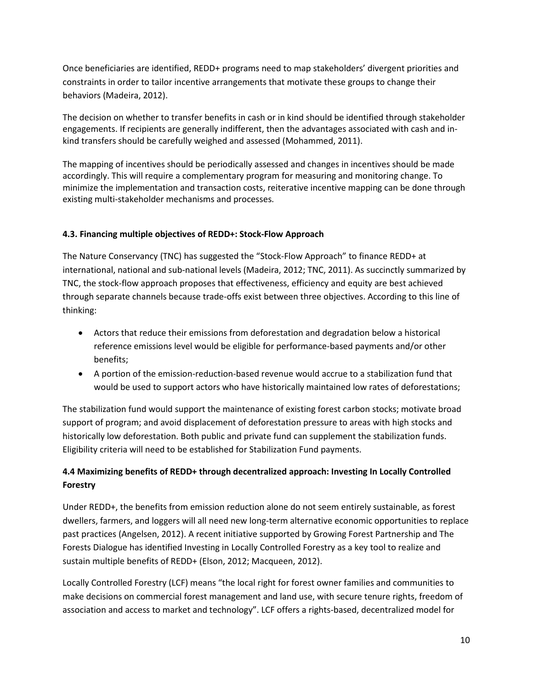Once beneficiaries are identified, REDD+ programs need to map stakeholders' divergent priorities and constraints in order to tailor incentive arrangements that motivate these groups to change their behaviors (Madeira, 2012).

The decision on whether to transfer benefits in cash or in kind should be identified through stakeholder engagements. If recipients are generally indifferent, then the advantages associated with cash and inkind transfers should be carefully weighed and assessed (Mohammed, 2011).

The mapping of incentives should be periodically assessed and changes in incentives should be made accordingly. This will require a complementary program for measuring and monitoring change. To minimize the implementation and transaction costs, reiterative incentive mapping can be done through existing multi-stakeholder mechanisms and processes.

# **4.3. Financing multiple objectives of REDD+: Stock-Flow Approach**

The Nature Conservancy (TNC) has suggested the "Stock-Flow Approach" to finance REDD+ at international, national and sub-national levels (Madeira, 2012; TNC, 2011). As succinctly summarized by TNC, the stock-flow approach proposes that effectiveness, efficiency and equity are best achieved through separate channels because trade-offs exist between three objectives. According to this line of thinking:

- Actors that reduce their emissions from deforestation and degradation below a historical reference emissions level would be eligible for performance-based payments and/or other benefits;
- A portion of the emission-reduction-based revenue would accrue to a stabilization fund that would be used to support actors who have historically maintained low rates of deforestations;

The stabilization fund would support the maintenance of existing forest carbon stocks; motivate broad support of program; and avoid displacement of deforestation pressure to areas with high stocks and historically low deforestation. Both public and private fund can supplement the stabilization funds. Eligibility criteria will need to be established for Stabilization Fund payments.

# **4.4 Maximizing benefits of REDD+ through decentralized approach: Investing In Locally Controlled Forestry**

Under REDD+, the benefits from emission reduction alone do not seem entirely sustainable, as forest dwellers, farmers, and loggers will all need new long-term alternative economic opportunities to replace past practices (Angelsen, 2012). A recent initiative supported by Growing Forest Partnership and The Forests Dialogue has identified Investing in Locally Controlled Forestry as a key tool to realize and sustain multiple benefits of REDD+ (Elson, 2012; Macqueen, 2012).

Locally Controlled Forestry (LCF) means "the local right for forest owner families and communities to make decisions on commercial forest management and land use, with secure tenure rights, freedom of association and access to market and technology". LCF offers a rights-based, decentralized model for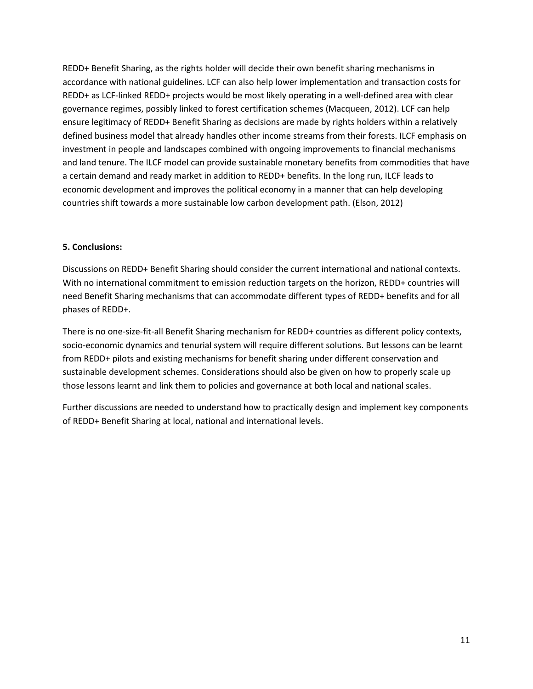REDD+ Benefit Sharing, as the rights holder will decide their own benefit sharing mechanisms in accordance with national guidelines. LCF can also help lower implementation and transaction costs for REDD+ as LCF-linked REDD+ projects would be most likely operating in a well-defined area with clear governance regimes, possibly linked to forest certification schemes (Macqueen, 2012). LCF can help ensure legitimacy of REDD+ Benefit Sharing as decisions are made by rights holders within a relatively defined business model that already handles other income streams from their forests. ILCF emphasis on investment in people and landscapes combined with ongoing improvements to financial mechanisms and land tenure. The ILCF model can provide sustainable monetary benefits from commodities that have a certain demand and ready market in addition to REDD+ benefits. In the long run, ILCF leads to economic development and improves the political economy in a manner that can help developing countries shift towards a more sustainable low carbon development path. (Elson, 2012)

### **5. Conclusions:**

Discussions on REDD+ Benefit Sharing should consider the current international and national contexts. With no international commitment to emission reduction targets on the horizon, REDD+ countries will need Benefit Sharing mechanisms that can accommodate different types of REDD+ benefits and for all phases of REDD+.

There is no one-size-fit-all Benefit Sharing mechanism for REDD+ countries as different policy contexts, socio-economic dynamics and tenurial system will require different solutions. But lessons can be learnt from REDD+ pilots and existing mechanisms for benefit sharing under different conservation and sustainable development schemes. Considerations should also be given on how to properly scale up those lessons learnt and link them to policies and governance at both local and national scales.

Further discussions are needed to understand how to practically design and implement key components of REDD+ Benefit Sharing at local, national and international levels.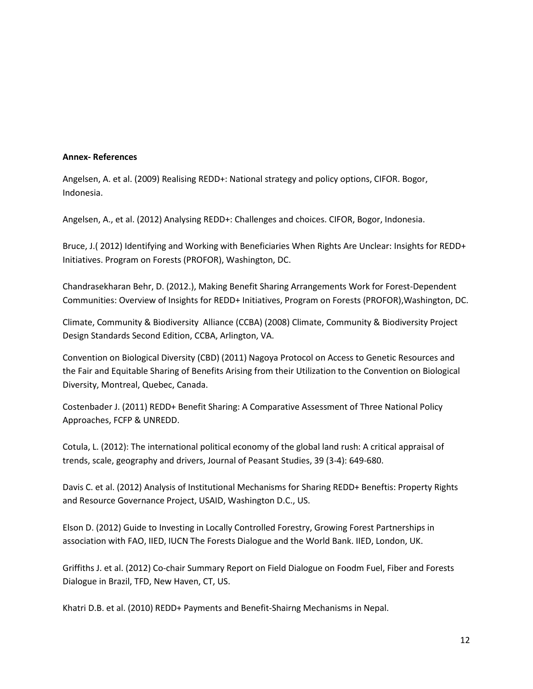#### **Annex- References**

Angelsen, A. et al. (2009) Realising REDD+: National strategy and policy options, CIFOR. Bogor, Indonesia.

Angelsen, A., et al. (2012) Analysing REDD+: Challenges and choices. CIFOR, Bogor, Indonesia.

Bruce, J.( 2012) Identifying and Working with Beneficiaries When Rights Are Unclear: Insights for REDD+ Initiatives. Program on Forests (PROFOR), Washington, DC.

Chandrasekharan Behr, D. (2012.), Making Benefit Sharing Arrangements Work for Forest-Dependent Communities: Overview of Insights for REDD+ Initiatives, Program on Forests (PROFOR),Washington, DC.

Climate, Community & Biodiversity Alliance (CCBA) (2008) Climate, Community & Biodiversity Project Design Standards Second Edition, CCBA, Arlington, VA.

Convention on Biological Diversity (CBD) (2011) Nagoya Protocol on Access to Genetic Resources and the Fair and Equitable Sharing of Benefits Arising from their Utilization to the Convention on Biological Diversity, Montreal, Quebec, Canada.

Costenbader J. (2011) REDD+ Benefit Sharing: A Comparative Assessment of Three National Policy Approaches, FCFP & UNREDD.

Cotula, L. (2012): The international political economy of the global land rush: A critical appraisal of trends, scale, geography and drivers, Journal of Peasant Studies, 39 (3-4): 649-680.

Davis C. et al. (2012) Analysis of Institutional Mechanisms for Sharing REDD+ Beneftis: Property Rights and Resource Governance Project, USAID, Washington D.C., US.

Elson D. (2012) Guide to Investing in Locally Controlled Forestry, Growing Forest Partnerships in association with FAO, IIED, IUCN The Forests Dialogue and the World Bank. IIED, London, UK.

Griffiths J. et al. (2012) Co-chair Summary Report on Field Dialogue on Foodm Fuel, Fiber and Forests Dialogue in Brazil, TFD, New Haven, CT, US.

Khatri D.B. et al. (2010) REDD+ Payments and Benefit-Shairng Mechanisms in Nepal.